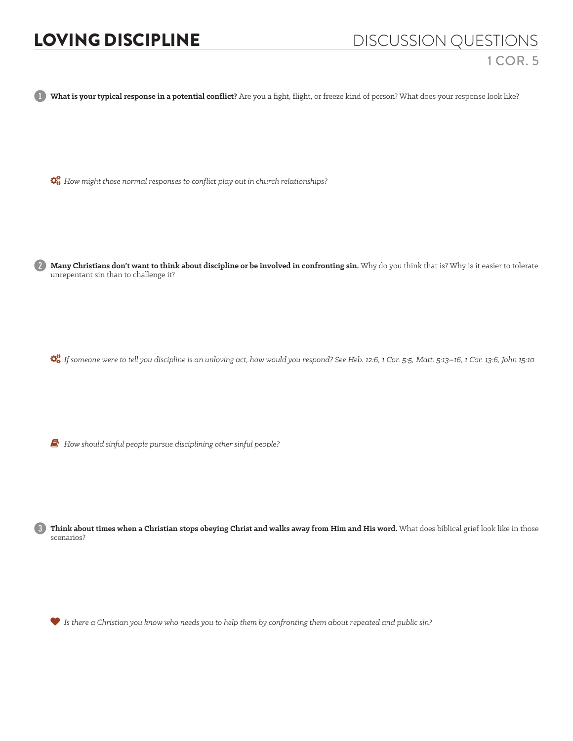